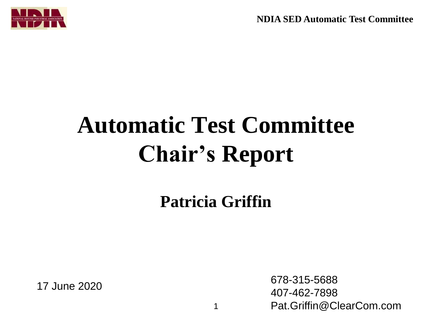**NDIA SED Automatic Test Committee**



## **Automatic Test Committee Chair's Report**

**Patricia Griffin**

17 June 2020 678-315-5688 407-462-7898 Pat.Griffin@ClearCom.com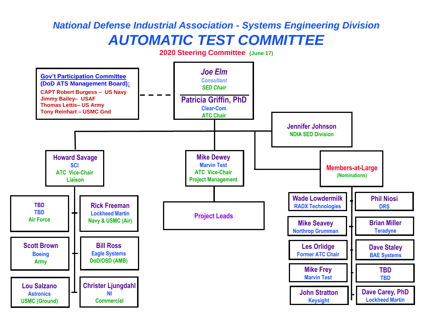## *National Defense Industrial Association - Systems Engineering Division AUTOMATIC TEST COMMITTEE*

**2020 Steering Committee (June 17)**

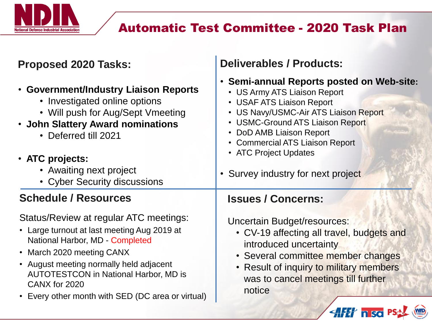

## Automatic Test Committee - 2020 Task Plan

| <b>Proposed 2020 Tasks:</b>                                                                                                                                                                                                                            | <b>Deliverables / Products:</b>                                                                                                                                                                                                                                                                                   |
|--------------------------------------------------------------------------------------------------------------------------------------------------------------------------------------------------------------------------------------------------------|-------------------------------------------------------------------------------------------------------------------------------------------------------------------------------------------------------------------------------------------------------------------------------------------------------------------|
| • Government/Industry Liaison Reports<br>• Investigated online options<br>• Will push for Aug/Sept Vmeeting<br>• John Slattery Award nominations<br>• Deferred till 2021<br>• ATC projects:<br>• Awaiting next project<br>• Cyber Security discussions | • Semi-annual Reports posted on Web-site:<br>• US Army ATS Liaison Report<br>• USAF ATS Liaison Report<br>• US Navy/USMC-Air ATS Liaison Report<br>• USMC-Ground ATS Liaison Report<br>• DoD AMB Liaison Report<br>• Commercial ATS Liaison Report<br>• ATC Project Updates<br>• Survey industry for next project |
| <b>Schedule / Resources</b>                                                                                                                                                                                                                            | <b>Issues / Concerns:</b>                                                                                                                                                                                                                                                                                         |
| Status/Review at regular ATC meetings:<br>• Large turnout at last meeting Aug 2019 at                                                                                                                                                                  | Uncertain Budget/resources:<br>• CV-19 affecting all travel, budgets and                                                                                                                                                                                                                                          |
| National Harbor, MD - Completed<br>• March 2020 meeting CANX<br>• August meeting normally held adjacent<br><b>AUTOTESTCON in National Harbor, MD is</b><br>CANX for 2020<br>• Every other month with SED (DC area or virtual)                          | introduced uncertainty<br>• Several committee member changes<br>• Result of inquiry to military members<br>was to cancel meetings till further<br>notice                                                                                                                                                          |